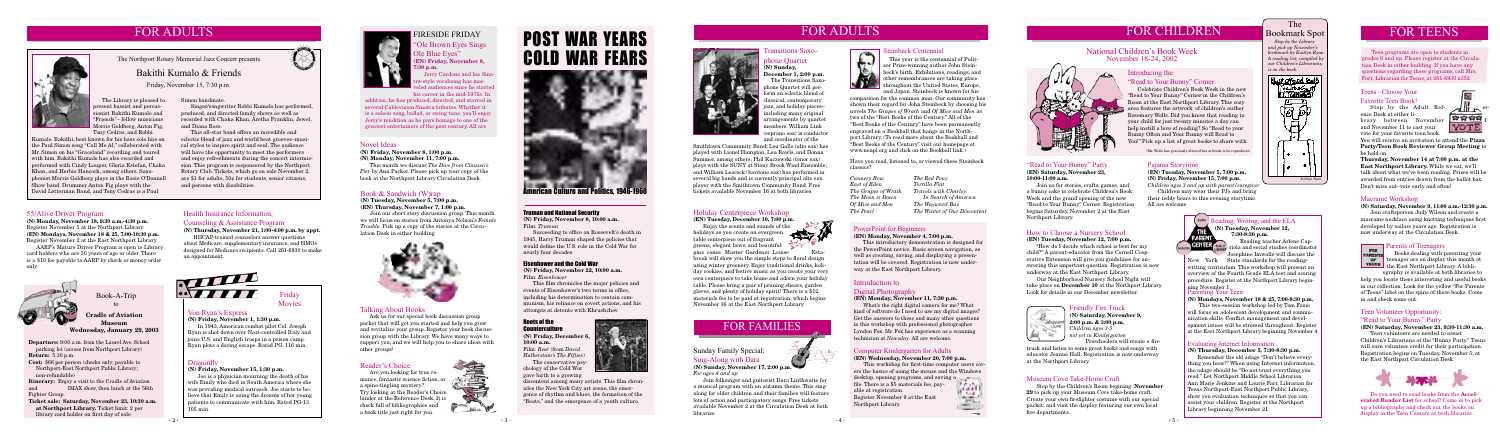# **FOR ADULTS**



| ula<br>y<br>rs.                                            |
|------------------------------------------------------------|
| $\overline{\phantom{a}}$<br>a<br>1<br>'n<br>ý              |
| Pizza<br>$\mathop{\bf ing}$ to                             |
| he<br>$^{\prime}$ ll<br>will be<br>box                     |
| 30 p.m<br>e a<br>$\frac{1}{2}$ first<br>is                 |
| your<br>h at:<br>li-<br>es to<br>books<br>rents<br>$2$ ome |
| a.m.<br>Teens<br>tion.<br>5, at                            |



### The Bookmark Spot

 *Stop by the Library and pick up November's bookmark by Kaitlyn Ryan. A reading list, compiled by our Children's Librarians, is on the back.*

### **Pajama Storytime**

### **(EN) Tuesday, November 5, 7:00 p.m. (N) Friday, November 15, 7:00 p.m.**

*Children ages 3 and up with parent/caregiver* Children may wear their PJs and bring

their teddy bears to this evening storytime. All are welcome.



### **Evaluating Internet Information**

### **(N) Thursday, December 5, 7:30-8:30 p.m.**

 Remember the old adage "Don't believe everything you hear?" When using Internet information, the adage should be "Do not trust everything you read." Let Northport Middle School Librarian Ann Marie Jenkins and Laurie Farr, Librarian for Teens Northport-East Northport Public Library, show you evaluation techniques so that you can assist your children. Register at the Northport Library beginning November 21.

Stop by the Adult Refence Desk at either library between November and November 11 to cast your vote for your favorite teen book.

### **Parenting Your Teen**

You will receive an invitation to attend the **Party/Teen Book Reviewer Group Meet** be held on

**(N) Mondays, November 18 & 25, 7:00-8:30 p.m.**

 This two-session workshop led by Tom Fazio will focus on adolescent development and communication skills. Conflict management and development issues will be stressed throughout. Register at the East Northport Library beginning November 4.

Join craftsperson Judy Wilson and creat macrame necklace using knotting technique developed by sailors years ago. Registration now underway at the Circulation Desk.



# **Parents of Teenagers**<br>**PARINTE** Books dealing with p

### **Reading, Writing, and the ELA (N) Tuesday, November 12, 7:30-8:30 p.m.**

 Reading teacher Arlene Capriola and social studies coordinator Josephine Imwalle will discuss the

New York State standards for the readingwriting curriculum. This workshop will present an overview of the Fourth Grade ELA test and scoring procedure. Register at the Northport Library beginning November 1.



### **Teens –Choose Your Favorite Teen Book!**

**Thursday, November 14 at 7:00 p.m. at the East Northport Library.** While we eat, we talk about what we've been reading. Prizes awarded from entries drawn from the ballot Don't miss out–vote early and often!

### **Macrame Workshop**

**(N) Saturday, November 9, 11:00 a.m.-12:30 p.m.**

### **National Children's Book Week November 18-24, 2002**

# <u>With</u>

### **How to Choose a Nursery School**

### **(EN) Tuesday, November 12, 7:00 p.m.**

 "How do I decide which school is best for my child?" A parent-educator from the Cornell Cooperative Extension will give you guidelines for answering this important question. Registration is now underway at the East Northport Library.

 Our Neighborhood Nursery School Night will take place on **December 10** at the Northport Library. Look for details in our December newsletter.



 Teen programs are open to students in grades 6 and up. Please register at the Circulation Desk in either building. If you have an questions regarding these programs, call M Farr, Librarian for Teens, at 261-6930 x352.

### **Transitions Saxophone Quartet**

**(N) Sunday, December 1, 2:00 p.m.**

 The Transitions Saxophone Quartet will perform an eclectic blend of classical, contemporary jazz, and holiday pieces– including many original arrangements by quartet (soprano sax) is conductor



# members. William Link and coordinator of the Smithtown Community Band; Lou Gallo (alto sax) has played with Lionel Hampton, Lou Rawls, and Donna

Summer, among others; Phil Kuczewski (tenor sax) plays with the SUNY at Stony Brook Wind Ensemble; and William Leacock (baritone sax) has performed in several big bands and is currently principal alto sax player with the Smithtown Community Band. Free tickets available November 16 at both libraries.

# **FOR ADULTS**



### **Health Insurance Information,**

### **Counseling & Assistance Program**

**(N) Thursday, November 21, 1:00-4:00 p.m. by appt.**

HIICAP-trained counselors answer questions about Medicare, supplementary insurance, and HMOs designed for Medicare recipients. Call 261-6930 to make an appointment.



 The Library is pleased to present bassist and percussionist Bakithi Kumalo and "Friends"– fellow musicians Morris Goldberg, Anton Fig, Tony Cedras, and Robbi

The Northport Rotary Memorial Jazz Concert presents

### **55/Alive Driver Program**

**(N) Monday, November 18, 9:30 a.m.-4:30 p.m.** Register November 5 at the Northport Library. **(EN) Mondays, November 18 & 25, 7:00-10:30 p.m.**  Register November 2 at the East Northport Library.

 AARP's Mature Driver Program is open to Library card holders who are 50 years of age or older. There is a \$10 fee payable to AARP by check or money order only.



# Bakithi Kumalo & Friends

Friday, November 15, 7:30 p.m.

### Simon bandmate.

 Singer/songwriter Robbi Kumalo has performed, produced, and directed family shows as well as recorded with Chaka Khan, Aretha Franklin, Jewel, and Diana Ross.

 This all-star band offers an incredible and eclectic blend of jazz and world beat grooves–musical styles to inspire spirit and soul. The audience will have the opportunity to meet the performers and enjoy refreshments during the concert intermission. This program is cosponsored by the Northport Rotary Club. Tickets, which go on sale November 2, are \$1 for adults, 50¢ for students, senior citizens, and persons with disabilities.

**Departure:** 9:00 a.m. from the Laurel Ave. School parking lot (across from Northport Library) **Return:** 5:30 p.m.

**Cost:** \$66 per person (checks only; payable to Northport-East Northport Public Library; non-refundable)

Steinbeck Centennial<br>
This year is the cente<br>
zer Prize-winning autho<br>
beck's birth. Exhibitions<br>
other remembrances are<br>
throughout the United S This year is the centennial of Pulitzer Prize-winning author John Steinbeck's birth. Exhibitions, readings, and other remembrances are taking place throughout the United States, Europe, and Japan. Steinbeck is known for his

**Itinerary:** Enjoy a visit to the Cradle of Aviation and IMAX show, then lunch at the 56th Fighter Group.

**Ticket sale: Saturday, November 23, 10:30 a.m. at Northport Library.** Ticket limit: 2 per library card holder on first day of sale.

**Book-A-Trip**

### **to Cradle of Aviation**

**Museum Wednesday, January 29, 2003** **Friday Movies**

### **Von Ryan's Express**

**(N) Friday, November 1, 1:30 p.m.**

 In 1943, American combat pilot Col. Joseph Ryan is shot down over Nazi-controlled Italy and joins U.S. and English troops in a prison camp. Ryan plots a daring escape. Rated PG. 116 min.

Books dealing with parenting teenager are on display this month at the East Northport Library. A bibli-

### **Dragonfly**

### **(N) Friday, November 15, 1:30 p.m.**

ography is available at both librari help you locate these interesting and useful in our collection. Look for the yellow "For Pa of Teens" label on the spine of these books. in and check some out.

 Joe is a physician mourning the death of his wife Emily who died in South America where she was providing medical outreach. Joe starts to believe that Emily is using the dreams of her young patients to communicate with him. Rated PG-13. 105 min.



**"Ole Brown Eyes Sings Ole Blue Eyes" (EN) Friday, November 8, 7:30 p.m.**

Jerry Cardone and his Sinara-style vocalizing has marled audiences since he started his career in the mid-1970s. In

addition, he has produced, directed, and starred in several Cablevision Sinatra tributes. Whether it is a saloon song, ballad, or swing tune, you'll enjoy Jerry's rendition as he pays homage to one of the greatest entertainers of the past century. All are

# **FIRESIDE FRIDAY**

# **Introducing the**

# **"Read to Your Bunny" Corner**

 Celebrate Children's Book Week in the new "Read to Your Bunny" Corner in the Children's Room at the East Northport Library. This cozy area features the artwork\* of children's author Rosemary Wells. Did you know that reading to your child for just twenty minutes a day can help instill a love of reading? So "Read to your Bunny Often and Your Bunny will Read to You!" Pick up a list of great books to share with

### **"Read to Your Bunny" Party (EN) Saturday, November 23,**

**10:00-11:00 a.m.**

 Join us for stories, crafts, games, and a bunny cake to celebrate Children's Book Week and the grand opening of the new "Read to Your Bunny" Corner. Registration begins Saturday, November 2 at the East Northport Library.



Film: *Beat* (from *David* 

*Halberstam's The Fifties*) The conservative psychology of the Cold War

gave birth to a growing

# **FOR CHILDREN Bookmark** Spot

discontent among many artists. This film chronicles the New York City art scene, the emergence of rhythm and blues, the formation of the "Beats," and the emergence of a youth culture.

Eisenhower and the Cold War

**(N) Friday, November 22, 10:00 a.m.**

Film: *Eisenhower*

 This film chronicles the major policies and events of Eisenhower's two terms in office, including his determination to contain communism, his reliance on covert actions, and his

attempts at detente with Khrushchev.

Truman and National Security

**(N) Friday, November 8, 10:00 a.m.**

Film: *Truman*

 Succeeding to office on Roosevelt's death in 1945, Harry Truman shaped the policies that would define the U.S. role in the Cold War for

nearly four decades.

American Culture and Politics, 1946-1960

POST WAR YEARS

COLD WAR FEARS

### **Holiday Centerpiece Workshop**

**(EN) Tuesday, December 10, 7:00 p.m.** 

 Enjoy the scents and sounds of the holidays as you create an evergreen<br>table centerpiece out of fragment table centerpiece out of fragrant greens, elegant bows, and beautiful pine cones. Master Gardener Louise Estabrook will show you the simple steps to floral design using winter greenery. Enjoy traditional drinks, holiday cookies, and festive music as you create your very own centerpiece to take home and adorn your holiday table. Please bring a pair of pruning shears, garden gloves, and plenty of holiday spirit! There is a \$12 materials fee to be paid at registration, which begins November 16 at the East Northport Library.

### **Talking About Books**

 Ask us for our special book discussion group packet that will get you started and help you grow and revitalize your group. Register your book discussion group with the Library. We have many ways to support you, and we will help you to share ideas with other groups!

# **FOR FAMILIES**

### **Sunday Family Special:**



*For ages 4 and up* Join folksinger and guitarist Dara Linthwaite for

a musical program with an autumn theme. This singalong for older children and their families will feature lots of action and participatory songs. Free tickets available November 2 at the Circulation Desk at both libraries.

### **Friendly Fire Truck**

**(N) Saturday, November 9, 2:00 p.m. & 3:00 p.m.** *Children ages 3-5 not yet in Kindergarten* Preschoolers will create a fire

truck and listen to some great books and songs with educator Jeanne Hall. Registration is now underway at the Northport Library.

### **Museum Cove Take-Home Craft**

 Stop by the Children's Room begining **November 29** to pick up your Museum Cove take-home craft. Create your own firefighter costume with our special packet, and visit the display featuring our own local fire departments.

# **Introduction to**

## **Digital Photography**

**(EN) Monday, November 11, 7:30 p.m.**

 What's the right digital camera for me? What kind of software do I need to use my digital images? Get the answers to these and many other questions in this workshop with professional photographer Lyndon Fox. Mr. Fox has experience as a scanning technician at *Newsday*. All are welcome.

compassion for the common man. Our community has shown their regard for John Steinbeck by choosing his novels *The Grapes of Wrath* and *Of Mice and Men* as two of the "Best Books of the Century." All of the "Best Books of the Century" have been permanently engraved on a Bookball that hangs in the Northport Library. (To read more about the Bookball and "Best Books of the Century" visit our homepage at www.nenpl.org and click on the Bookball link.)

### **Teen Volunteer Opportunity:**

### **"Read to Your Bunny" Party**

**(EN) Saturday, November 23, 9:30-11:30** 

 Teen volunteers are needed to assist Children's Librarians at the "Bunny Party." will earn volunteer credit for their participation. Registration begins on Tuesday, November 5 the East Northport Circulation Desk.



### **PowerPoint for Beginners**

### **(EN) Monday, November 4, 7:00 p.m.**

This introductory demonstration is designed for the PowerPoint novice. Basic screen navigation, as well as creating, saving, and displaying a presentation will be covered. Registration is now underway at the East Northport Library.

> Do you need to read books from the **Accelerated Reader List** for school? Come in to pick up a bibliography and check out the books on display in the Teen Centers at both libraries.

### **Reader's Choice**

 Are you looking for true romance, fantastic science fiction, or a spine-tingling mystery? Try looking at the Reader's Choice binder at the Reference Desk. It is chock full of bibliographies and a book title just right for you.



### **Novel Ideas**

**(N) Friday, November 8, 1:00 p.m.**

**(N) Monday, November 11, 7:00 p.m.**

 This month we discuss *The Dive from Clausen's Pier* by Ann Packer. Please pick up your copy of the book at the Northport Library Circulation Desk.

### **Book & Sandwich (W)rap**

**(N) Tuesday, November 5, 7:00 p.m. (EN) Thursday, November 7, 1:00 p.m.**

Join our short story discussion group. This month we will focus on stories from Antonya Nelson's *Female Trouble.* Pick up a copy of the stories at the Circulation Desk in either building.



*The Red Pony Tortilla Flat Travels with Charley: In Search of America The Wayward Bus The Winter of Our Discontent*

Have you read, listened to, or viewed these Steinbeck classics?

\*Ms. Wells has graciously allowed her artwork to be reproduced.

*Cannery Row East of Eden The Grapes of Wrath The Moon is Down Of Mice and Men The Pearl*

### **Computer Kindergarten for Adults**

### **(EN) Wednesday, November 20, 7:00 p.m.**

This workshop for first-time computer users covers the basics of using the mouse and the Windows desktop, opening programs, and saving a file. There is a \$5 materials fee, payable at registration. Register November 9 at the East Northport Library.



Kumalo. Bakithi, best known for his bass solo line on the Paul Simon song "Call Me Al," collaborated with Mr. Simon on his "Graceland" recording and toured with him. Bakithi Kumalo has also recorded and performed with Cindy Lauper, Gloria Estefan, Chaka Khan, and Herbie Hancock, among others. Saxophonist Morris Goldberg plays in the Rosie O'Donnell Show band. Drummer Anton Fig plays with the David Letterman Band, and Tony Cedras is a Paul